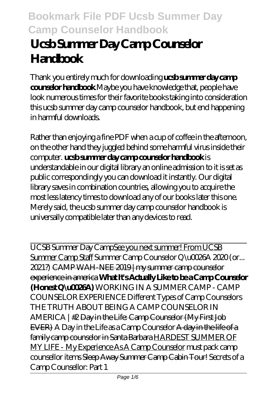# **Ucsb Summer Day Camp Counselor Handbook**

Thank you entirely much for downloading **ucsb summer day camp counselor handbook**.Maybe you have knowledge that, people have look numerous times for their favorite books taking into consideration this ucsb summer day camp counselor handbook, but end happening in harmful downloads.

Rather than enjoying a fine PDF when a cup of coffee in the afternoon, on the other hand they juggled behind some harmful virus inside their computer. **ucsb summer day camp counselor handbook** is understandable in our digital library an online admission to it is set as public correspondingly you can download it instantly. Our digital library saves in combination countries, allowing you to acquire the most less latency times to download any of our books later this one. Merely said, the ucsb summer day camp counselor handbook is universally compatible later than any devices to read.

UCSB Summer Day CampSee you next summer! From UCSB Summer Camp Staff *Summer Camp Counselor Q\u0026A 2020 (or... 2021?)* CAMP WAH-NEE 2019 | my summer camp counselor experience in america **What It's Actually Like to be a Camp Counselor (Honest Q\u0026A)** *WORKING IN A SUMMER CAMP - CAMP COUNSELOR EXPERIENCE Different Types of Camp Counselors THE TRUTH ABOUT BEING A CAMP COUNSELOR IN AMERICA | #2* Day in the Life: Camp Counselor (My First Job EVER) A Day in the Life as a Camp Counselor A day in the life of a family camp counselor in Santa Barbara HARDEST SUMMER OF MY LIFE - My Experience As A Camp Counselor *must pack camp counsellor items* Sleep Away Summer Camp Cabin Tour! *Secrets of a Camp Counsellor: Part 1*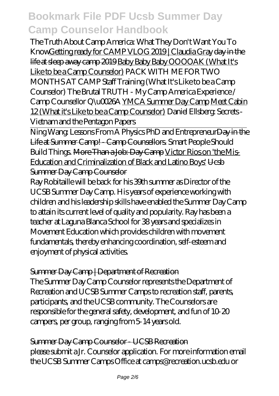The Truth About Camp America: What They Don't Want You To KnowGetting ready for CAMP VLOG 2019 | Claudia Gray day in the life at sleep away camp 2019 Baby Baby Baby OOOOAK (What It's Like to be a Camp Counselor) PACK WITH ME FOR TWO MONTHS AT CAMP *Staff Training (What It's Like to be a Camp Counselor) The Brutal TRUTH - My Camp America Experience / Camp Counsellor Q\u0026A* YMCA Summer Day Camp Meet Cabin 12 (What it's Like to be a Camp Counselor) Daniel Ellsberg: Secrets - Vietnam and the Pentagon Papers

Ning Wang: Lessons From A Physics PhD and EntrepreneurDay in the Life at Summer Camp! - Camp Counsellors. Smart People Should Build Things. More Than a Job: Day Camp Victor Rios on 'the Mis-Education and Criminalization of Black and Latino Boys' Ucsb Summer Day Camp Counselor

Ray Robitaille will be back for his 39th summer as Director of the UCSB Summer Day Camp. His years of experience working with children and his leadership skills have enabled the Summer Day Camp to attain its current level of quality and popularity. Ray has been a teacher at Laguna Blanca School for 38 years and specializes in Movement Education which provides children with movement fundamentals, thereby enhancing coordination, self-esteem and enjoyment of physical activities.

#### Summer Day Camp | Department of Recreation

The Summer Day Camp Counselor represents the Department of Recreation and UCSB Summer Camps to recreation staff, parents, participants, and the UCSB community. The Counselors are responsible for the general safety, development, and fun of 10-20 campers, per group, ranging from 5-14 years old.

Summer Day Camp Counselor - UCSB Recreation please submit a Jr. Counselor application. For more information email the UCSB Summer Camps Office at camps@recreation.ucsb.edu or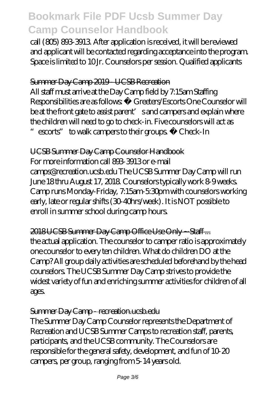call (805) 893-3913. After application is received, it will be reviewed and applicant will be contacted regarding acceptance into the program. Space is limited to 10 Jr. Counselors per session. Qualified applicants

#### Summer Day Camp 2019 - UCSB Recreation

All staff must arrive at the Day Camp field by 7:15am Staffing Responsibilities are as follows: • Greeters/Escorts One Counselor will be at the front gate to assist parent' s and campers and explain where the children will need to go to check-in. Five counselors will act as "escorts" to walk campers to their groups. • Check-In

UCSB Summer Day Camp Counselor Handbook For more information call 893-3913 or e-mail

camps@recreation.ucsb.edu The UCSB Summer Day Camp will run June 18 thru August 17, 2018. Counselors typically work 8-9 weeks. Camp runs Monday-Friday, 7:15am-5:30pm with counselors working early, late or regular shifts (30-40hrs/week). It is NOT possible to enroll in summer school during camp hours.

2018 UCSB Summer Day Camp Office Use Only ~ Staff ... the actual application. The counselor to camper ratio is approximately one counselor to every ten children. What do children DO at the Camp? All group daily activities are scheduled beforehand by the head counselors. The UCSB Summer Day Camp strives to provide the widest variety of fun and enriching summer activities for children of all ages.

#### Summer Day Camp - recreation.ucsb.edu

The Summer Day Camp Counselor represents the Department of Recreation and UCSB Summer Camps to recreation staff, parents, participants, and the UCSB community. The Counselors are responsible for the general safety, development, and fun of 10-20 campers, per group, ranging from 5-14 years old.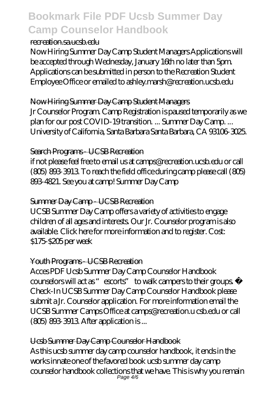#### recreation.sa.ucsb.edu

Now Hiring Summer Day Camp Student Managers Applications will be accepted through Wednesday, January 16th no later than 5pm. Applications can be submitted in person to the Recreation Student Employee Office or emailed to ashley.marsh@recreation.ucsb.edu

#### Now Hiring Summer Day Camp Student Managers

Jr Counselor Program. Camp Registration is paused temporarily as we plan for our post COVID-19 transition. ... Summer Day Camp. ... University of California, Santa Barbara Santa Barbara, CA 93106-3025.

#### Search Programs - UCSB Recreation

if not please feel free to email us at camps@recreation.ucsb.edu or call (805) 893-3913. To reach the field office during camp please call (805) 893-4821. See you at camp! Summer Day Camp

### Summer Day Camp - UCSB Recreation

UCSB Summer Day Camp offers a variety of activities to engage children of all ages and interests. Our Jr. Counselor program is also available. Click here for more information and to register. Cost: \$175-\$205 per week

### Youth Programs - UCSB Recreation

Acces PDF Ucsb Summer Day Camp Counselor Handbook counselors will act as "escorts" to walk campers to their groups. • Check-In UCSB Summer Day Camp Counselor Handbook please submit a Jr. Counselor application. For more information email the UCSB Summer Camps Office at camps@recreation.u csb.edu or call (805) 893-3913. After application is ...

### Ucsb Summer Day Camp Counselor Handbook

As this ucsb summer day camp counselor handbook, it ends in the works innate one of the favored book ucsb summer day camp counselor handbook collections that we have. This is why you remain Page 4/6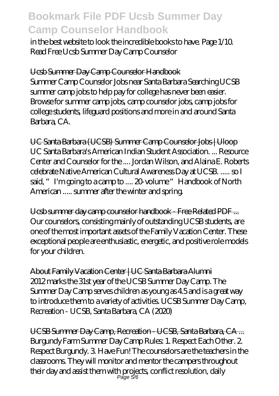in the best website to look the incredible books to have. Page 1/10. Read Free Ucsb Summer Day Camp Counselor

Ucsb Summer Day Camp Counselor Handbook Summer Camp Counselor Jobs near Santa Barbara Searching UCSB summer camp jobs to help pay for college has never been easier. Browse for summer camp jobs, camp counselor jobs, camp jobs for college students, lifeguard positions and more in and around Santa Barbara, CA.

UC Santa Barbara (UCSB) Summer Camp Counselor Jobs | Uloop UC Santa Barbara's American Indian Student Association. ... Resource Center and Counselor for the .... Jordan Wilson, and Alaina E. Roberts celebrate Native American Cultural Awareness Day at UCSB. ..... so I said, "I'm going to a camp to .... 20-volume "Handbook of North American ..... summer after the winter and spring.

Ucsb summer day camp counselor handbook - Free Related PDF ... Our counselors, consisting mainly of outstanding UCSB students, are one of the most important assets of the Family Vacation Center. These exceptional people are enthusiastic, energetic, and positive role models for your children.

About Family Vacation Center | UC Santa Barbara Alumni 2012 marks the 31st year of the UCSB Summer Day Camp. The Summer Day Camp serves children as young as 4.5 and is a great way to introduce them to a variety of activities. UCSB Summer Day Camp, Recreation - UCSB, Santa Barbara, CA (2020)

UCSB Summer Day Camp, Recreation - UCSB, Santa Barbara, CA ... Burgundy Farm Summer Day Camp Rules: 1. Respect Each Other. 2. Respect Burgundy. 3. Have Fun! The counselors are the teachers in the classrooms. They will monitor and mentor the campers throughout their day and assist them with projects, conflict resolution, daily Page 5/6